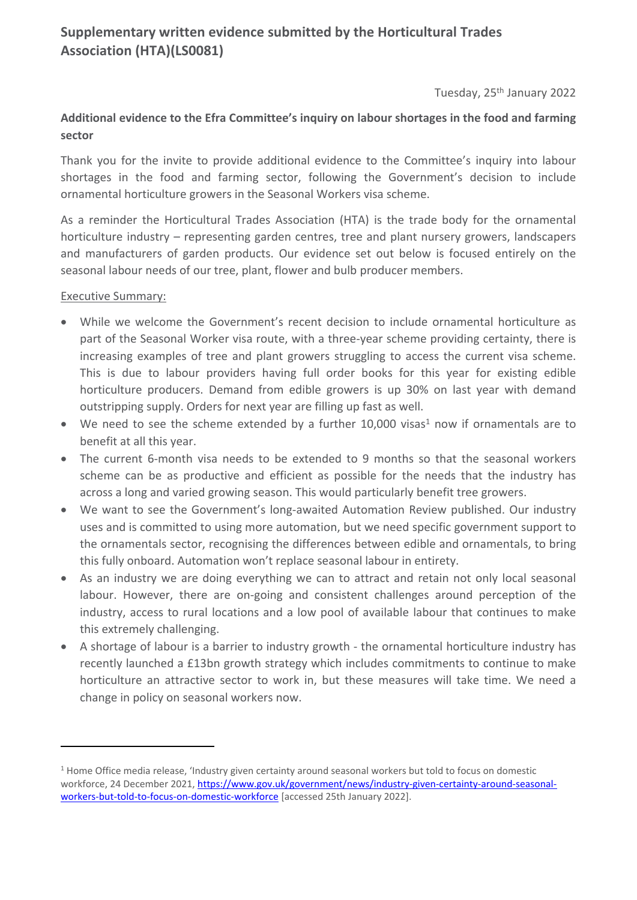# **Supplementary written evidence submitted by the Horticultural Trades Association (HTA)(LS0081)**

Tuesday, 25<sup>th</sup> January 2022

### **Additional evidence to the Efra Committee's inquiry on labour shortages in the food and farming sector**

Thank you for the invite to provide additional evidence to the Committee's inquiry into labour shortages in the food and farming sector, following the Government's decision to include ornamental horticulture growers in the Seasonal Workers visa scheme.

As a reminder the Horticultural Trades Association (HTA) is the trade body for the ornamental horticulture industry – representing garden centres, tree and plant nursery growers, landscapers and manufacturers of garden products. Our evidence set out below is focused entirely on the seasonal labour needs of our tree, plant, flower and bulb producer members.

#### Executive Summary:

- While we welcome the Government's recent decision to include ornamental horticulture as part of the Seasonal Worker visa route, with a three-year scheme providing certainty, there is increasing examples of tree and plant growers struggling to access the current visa scheme. This is due to labour providers having full order books for this year for existing edible horticulture producers. Demand from edible growers is up 30% on last year with demand outstripping supply. Orders for next year are filling up fast as well.
- $\bullet$  We need to see the scheme extended by a further 10,000 visas<sup>1</sup> now if ornamentals are to benefit at all this year.
- The current 6-month visa needs to be extended to 9 months so that the seasonal workers scheme can be as productive and efficient as possible for the needs that the industry has across a long and varied growing season. This would particularly benefit tree growers.
- We want to see the Government's long-awaited Automation Review published. Our industry uses and is committed to using more automation, but we need specific government support to the ornamentals sector, recognising the differences between edible and ornamentals, to bring this fully onboard. Automation won't replace seasonal labour in entirety.
- As an industry we are doing everything we can to attract and retain not only local seasonal labour. However, there are on-going and consistent challenges around perception of the industry, access to rural locations and a low pool of available labour that continues to make this extremely challenging.
- A shortage of labour is a barrier to industry growth the ornamental horticulture industry has recently launched a £13bn growth strategy which includes commitments to continue to make horticulture an attractive sector to work in, but these measures will take time. We need a change in policy on seasonal workers now.

<sup>1</sup> Home Office media release, 'Industry given certainty around seasonal workers but told to focus on domestic workforce, 24 December 2021, [https://www.gov.uk/government/news/industry-given-certainty-around-seasonal](https://www.gov.uk/government/news/industry-given-certainty-around-seasonal-workers-but-told-to-focus-on-domestic-workforce)[workers-but-told-to-focus-on-domestic-workforce](https://www.gov.uk/government/news/industry-given-certainty-around-seasonal-workers-but-told-to-focus-on-domestic-workforce) [accessed 25th January 2022].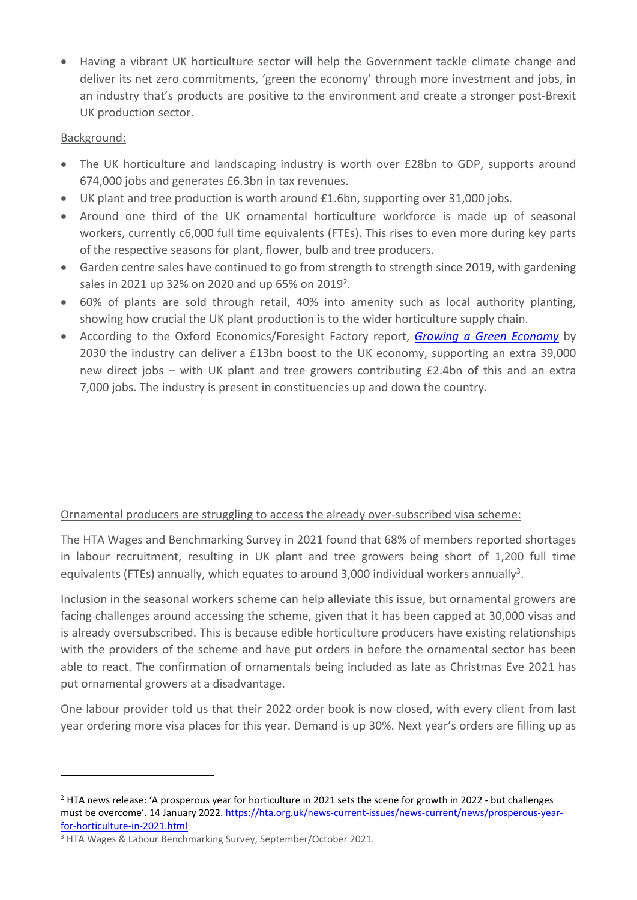Having a vibrant UK horticulture sector will help the Government tackle climate change and deliver its net zero commitments, 'green the economy' through more investment and jobs, in an industry that's products are positive to the environment and create a stronger post-Brexit UK production sector.

### Background:

- The UK horticulture and landscaping industry is worth over £28bn to GDP, supports around 674,000 jobs and generates £6.3bn in tax revenues.
- UK plant and tree production is worth around £1.6bn, supporting over 31,000 jobs.
- Around one third of the UK ornamental horticulture workforce is made up of seasonal workers, currently c6,000 full time equivalents (FTEs). This rises to even more during key parts of the respective seasons for plant, flower, bulb and tree producers.
- Garden centre sales have continued to go from strength to strength since 2019, with gardening sales in 2021 up 32% on 2020 and up 65% on 2019<sup>2</sup>.
- 60% of plants are sold through retail, 40% into amenity such as local authority planting, showing how crucial the UK plant production is to the wider horticulture supply chain.
- According to the Oxford Economics/Foresight Factory report, *[Growing](https://hta.org.uk/uploads/assets/a4e1bad2-866b-4623-aa33ef712689d52a/Industry-growth-report-OHRG.pdf) [a](https://hta.org.uk/uploads/assets/a4e1bad2-866b-4623-aa33ef712689d52a/Industry-growth-report-OHRG.pdf) [Green](https://hta.org.uk/uploads/assets/a4e1bad2-866b-4623-aa33ef712689d52a/Industry-growth-report-OHRG.pdf) [Economy](https://hta.org.uk/uploads/assets/a4e1bad2-866b-4623-aa33ef712689d52a/Industry-growth-report-OHRG.pdf)* by 2030 the industry can deliver a £13bn boost to the UK economy, supporting an extra 39,000 new direct jobs – with UK plant and tree growers contributing £2.4bn of this and an extra 7,000 jobs. The industry is present in constituencies up and down the country.

# Ornamental producers are struggling to access the already over-subscribed visa scheme:

The HTA Wages and Benchmarking Survey in 2021 found that 68% of members reported shortages in labour recruitment, resulting in UK plant and tree growers being short of 1,200 full time equivalents (FTEs) annually, which equates to around 3,000 individual workers annually<sup>3</sup>.

Inclusion in the seasonal workers scheme can help alleviate this issue, but ornamental growers are facing challenges around accessing the scheme, given that it has been capped at 30,000 visas and is already oversubscribed. This is because edible horticulture producers have existing relationships with the providers of the scheme and have put orders in before the ornamental sector has been able to react. The confirmation of ornamentals being included as late as Christmas Eve 2021 has put ornamental growers at a disadvantage.

One labour provider told us that their 2022 order book is now closed, with every client from last year ordering more visa places for this year. Demand is up 30%. Next year's orders are filling up as

<sup>2</sup> HTA news release: 'A prosperous year for horticulture in 2021 sets the scene for growth in 2022 - but challenges must be overcome'. 14 January 2022. [https://hta.org.uk/news-current-issues/news-current/news/prosperous-year](https://hta.org.uk/news-current-issues/news-current/news/prosperous-year-for-horticulture-in-2021.html)[for-horticulture-in-2021.html](https://hta.org.uk/news-current-issues/news-current/news/prosperous-year-for-horticulture-in-2021.html)

<sup>3</sup> HTA Wages & Labour Benchmarking Survey, September/October 2021.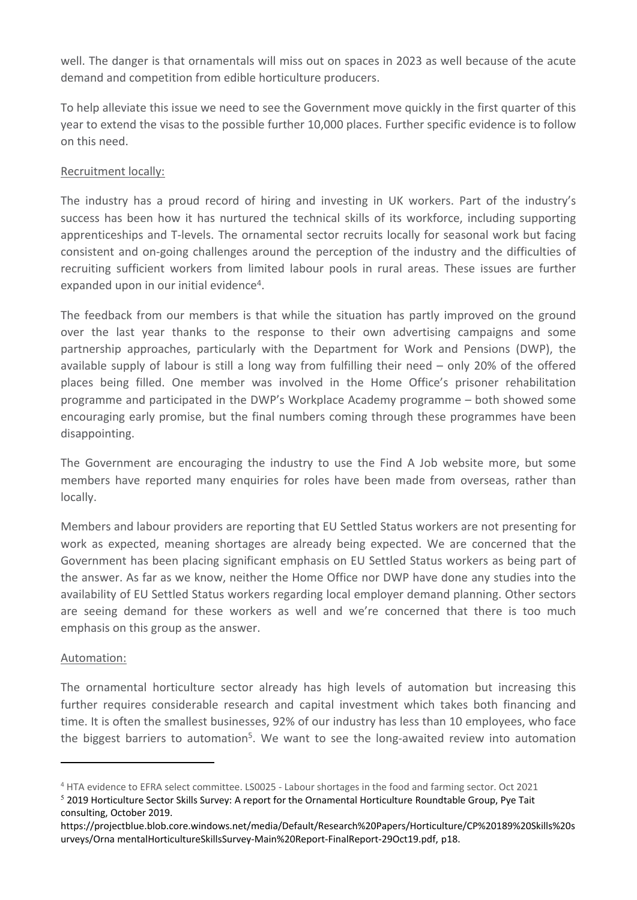well. The danger is that ornamentals will miss out on spaces in 2023 as well because of the acute demand and competition from edible horticulture producers.

To help alleviate this issue we need to see the Government move quickly in the first quarter of this year to extend the visas to the possible further 10,000 places. Further specific evidence is to follow on this need.

### Recruitment locally:

The industry has a proud record of hiring and investing in UK workers. Part of the industry's success has been how it has nurtured the technical skills of its workforce, including supporting apprenticeships and T-levels. The ornamental sector recruits locally for seasonal work but facing consistent and on-going challenges around the perception of the industry and the difficulties of recruiting sufficient workers from limited labour pools in rural areas. These issues are further expanded upon in our initial evidence<sup>4</sup>.

The feedback from our members is that while the situation has partly improved on the ground over the last year thanks to the response to their own advertising campaigns and some partnership approaches, particularly with the Department for Work and Pensions (DWP), the available supply of labour is still a long way from fulfilling their need – only 20% of the offered places being filled. One member was involved in the Home Office's prisoner rehabilitation programme and participated in the DWP's Workplace Academy programme – both showed some encouraging early promise, but the final numbers coming through these programmes have been disappointing.

The Government are encouraging the industry to use the Find A Job website more, but some members have reported many enquiries for roles have been made from overseas, rather than locally.

Members and labour providers are reporting that EU Settled Status workers are not presenting for work as expected, meaning shortages are already being expected. We are concerned that the Government has been placing significant emphasis on EU Settled Status workers as being part of the answer. As far as we know, neither the Home Office nor DWP have done any studies into the availability of EU Settled Status workers regarding local employer demand planning. Other sectors are seeing demand for these workers as well and we're concerned that there is too much emphasis on this group as the answer.

#### Automation:

The ornamental horticulture sector already has high levels of automation but increasing this further requires considerable research and capital investment which takes both financing and time. It is often the smallest businesses, 92% of our industry has less than 10 employees, who face the biggest barriers to automation<sup>5</sup>. We want to see the long-awaited review into automation

<sup>4</sup> HTA evidence to EFRA select committee. LS0025 - Labour shortages in the food and farming sector. Oct 2021

<sup>5</sup> 2019 Horticulture Sector Skills Survey: A report for the Ornamental Horticulture Roundtable Group, Pye Tait consulting, October 2019.

https://projectblue.blob.core.windows.net/media/Default/Research%20Papers/Horticulture/CP%20189%20Skills%20s urveys/Orna mentalHorticultureSkillsSurvey-Main%20Report-FinalReport-29Oct19.pdf, p18.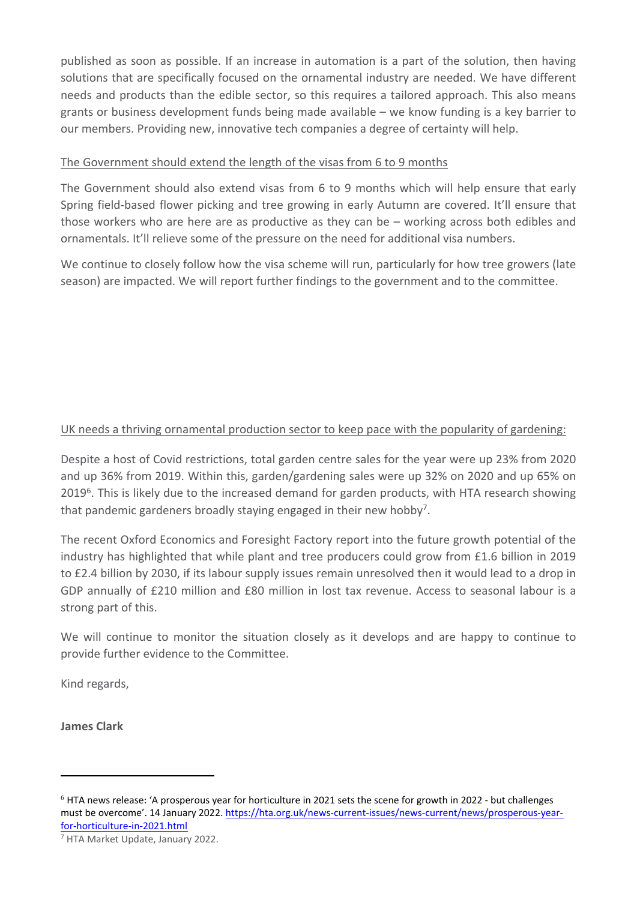published as soon as possible. If an increase in automation is a part of the solution, then having solutions that are specifically focused on the ornamental industry are needed. We have different needs and products than the edible sector, so this requires a tailored approach. This also means grants or business development funds being made available – we know funding is a key barrier to our members. Providing new, innovative tech companies a degree of certainty will help.

### The Government should extend the length of the visas from 6 to 9 months

The Government should also extend visas from 6 to 9 months which will help ensure that early Spring field-based flower picking and tree growing in early Autumn are covered. It'll ensure that those workers who are here are as productive as they can be – working across both edibles and ornamentals. It'll relieve some of the pressure on the need for additional visa numbers.

We continue to closely follow how the visa scheme will run, particularly for how tree growers (late season) are impacted. We will report further findings to the government and to the committee.

# UK needs a thriving ornamental production sector to keep pace with the popularity of gardening:

Despite a host of Covid restrictions, total garden centre sales for the year were up 23% from 2020 and up 36% from 2019. Within this, garden/gardening sales were up 32% on 2020 and up 65% on 2019<sup>6</sup>. This is likely due to the increased demand for garden products, with HTA research showing that pandemic gardeners broadly staying engaged in their new hobby<sup>7</sup>.

The recent Oxford Economics and Foresight Factory report into the future growth potential of the industry has highlighted that while plant and tree producers could grow from £1.6 billion in 2019 to £2.4 billion by 2030, if its labour supply issues remain unresolved then it would lead to a drop in GDP annually of £210 million and £80 million in lost tax revenue. Access to seasonal labour is a strong part of this.

We will continue to monitor the situation closely as it develops and are happy to continue to provide further evidence to the Committee.

Kind regards,

**James Clark**

<sup>6</sup> HTA news release: 'A prosperous year for horticulture in 2021 sets the scene for growth in 2022 - but challenges must be overcome'. 14 January 2022. [https://hta.org.uk/news-current-issues/news-current/news/prosperous-year](https://hta.org.uk/news-current-issues/news-current/news/prosperous-year-for-horticulture-in-2021.html)[for-horticulture-in-2021.html](https://hta.org.uk/news-current-issues/news-current/news/prosperous-year-for-horticulture-in-2021.html)

<sup>7</sup> HTA Market Update, January 2022.